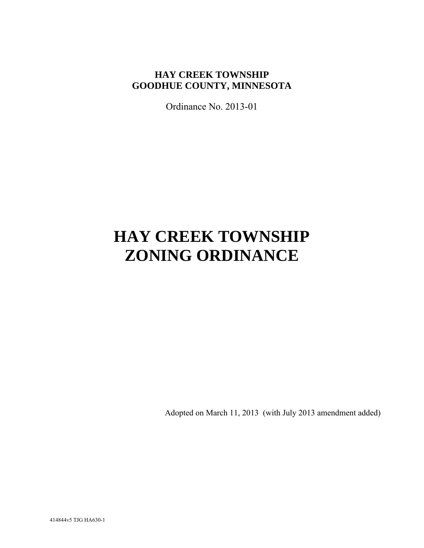# **HAY CREEK TOWNSHIP GOODHUE COUNTY, MINNESOTA**

Ordinance No. 2013-01

# **HAY CREEK TOWNSHIP ZONING ORDINANCE**

Adopted on March 11, 2013 (with July 2013 amendment added)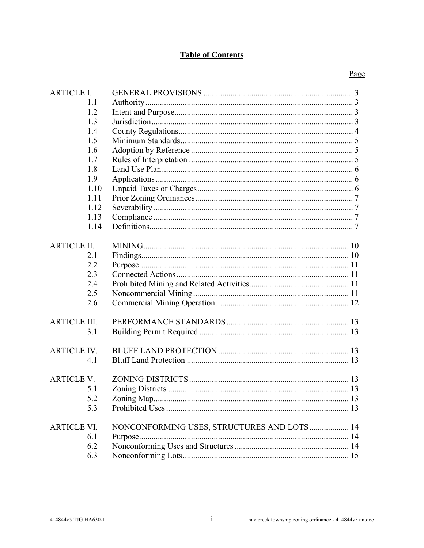# **Table of Contents**

| <b>ARTICLE I.</b>   |      |                                            |  |
|---------------------|------|--------------------------------------------|--|
|                     | 1.1  |                                            |  |
|                     | 1.2  |                                            |  |
|                     | 1.3  |                                            |  |
|                     | 1.4  |                                            |  |
|                     | 1.5  |                                            |  |
|                     | 1.6  |                                            |  |
|                     | 1.7  |                                            |  |
|                     | 1.8  |                                            |  |
|                     | 1.9  |                                            |  |
|                     | 1.10 |                                            |  |
|                     | 1.11 |                                            |  |
|                     | 1.12 |                                            |  |
|                     | 1.13 |                                            |  |
|                     | 1.14 |                                            |  |
|                     |      |                                            |  |
| <b>ARTICLE II.</b>  |      |                                            |  |
|                     | 2.1  |                                            |  |
|                     | 2.2  |                                            |  |
|                     | 2.3  |                                            |  |
|                     | 2.4  |                                            |  |
|                     | 2.5  |                                            |  |
|                     | 2.6  |                                            |  |
|                     |      |                                            |  |
| <b>ARTICLE III.</b> |      |                                            |  |
|                     | 3.1  |                                            |  |
|                     |      |                                            |  |
| <b>ARTICLE IV.</b>  |      |                                            |  |
|                     | 4.1  |                                            |  |
|                     |      |                                            |  |
| <b>ARTICLE V.</b>   |      |                                            |  |
|                     | 5.1  |                                            |  |
|                     | 5.2  |                                            |  |
|                     | 5.3  |                                            |  |
|                     |      |                                            |  |
| <b>ARTICLE VI.</b>  |      | NONCONFORMING USES, STRUCTURES AND LOTS 14 |  |
|                     | 6.1  |                                            |  |
|                     | 6.2  |                                            |  |
|                     | 6.3  |                                            |  |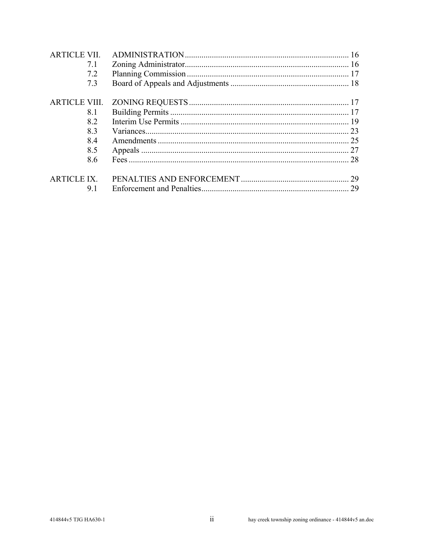| <b>ARTICLE VII.</b>  |    |
|----------------------|----|
| 7.1                  |    |
| 7.2                  |    |
| 7.3                  |    |
| <b>ARTICLE VIII.</b> |    |
| 8.1                  |    |
| 8.2                  |    |
| 83                   |    |
| 8.4                  |    |
| 8.5                  |    |
| 8.6                  |    |
| <b>ARTICLE IX.</b>   | 29 |
| 91                   | 29 |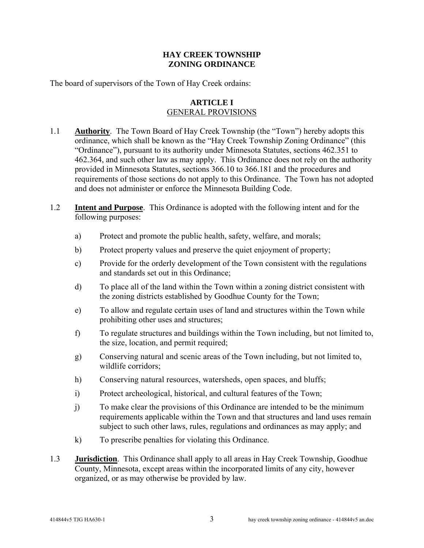## **HAY CREEK TOWNSHIP ZONING ORDINANCE**

The board of supervisors of the Town of Hay Creek ordains:

#### **ARTICLE I**  GENERAL PROVISIONS

- 1.1 **Authority**. The Town Board of Hay Creek Township (the "Town") hereby adopts this ordinance, which shall be known as the "Hay Creek Township Zoning Ordinance" (this "Ordinance"), pursuant to its authority under Minnesota Statutes, sections 462.351 to 462.364, and such other law as may apply. This Ordinance does not rely on the authority provided in Minnesota Statutes, sections 366.10 to 366.181 and the procedures and requirements of those sections do not apply to this Ordinance. The Town has not adopted and does not administer or enforce the Minnesota Building Code.
- 1.2 **Intent and Purpose**. This Ordinance is adopted with the following intent and for the following purposes:
	- a) Protect and promote the public health, safety, welfare, and morals;
	- b) Protect property values and preserve the quiet enjoyment of property;
	- c) Provide for the orderly development of the Town consistent with the regulations and standards set out in this Ordinance;
	- d) To place all of the land within the Town within a zoning district consistent with the zoning districts established by Goodhue County for the Town;
	- e) To allow and regulate certain uses of land and structures within the Town while prohibiting other uses and structures;
	- f) To regulate structures and buildings within the Town including, but not limited to, the size, location, and permit required;
	- g) Conserving natural and scenic areas of the Town including, but not limited to, wildlife corridors;
	- h) Conserving natural resources, watersheds, open spaces, and bluffs;
	- i) Protect archeological, historical, and cultural features of the Town;
	- j) To make clear the provisions of this Ordinance are intended to be the minimum requirements applicable within the Town and that structures and land uses remain subject to such other laws, rules, regulations and ordinances as may apply; and
	- k) To prescribe penalties for violating this Ordinance.
- 1.3 **Jurisdiction**. This Ordinance shall apply to all areas in Hay Creek Township, Goodhue County, Minnesota, except areas within the incorporated limits of any city, however organized, or as may otherwise be provided by law.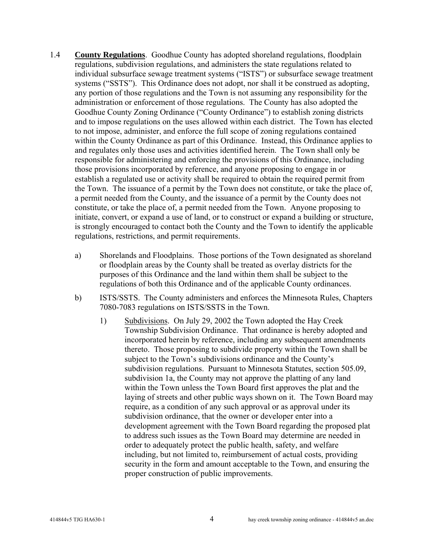- 1.4 **County Regulations**. Goodhue County has adopted shoreland regulations, floodplain regulations, subdivision regulations, and administers the state regulations related to individual subsurface sewage treatment systems ("ISTS") or subsurface sewage treatment systems ("SSTS"). This Ordinance does not adopt, nor shall it be construed as adopting, any portion of those regulations and the Town is not assuming any responsibility for the administration or enforcement of those regulations. The County has also adopted the Goodhue County Zoning Ordinance ("County Ordinance") to establish zoning districts and to impose regulations on the uses allowed within each district. The Town has elected to not impose, administer, and enforce the full scope of zoning regulations contained within the County Ordinance as part of this Ordinance. Instead, this Ordinance applies to and regulates only those uses and activities identified herein. The Town shall only be responsible for administering and enforcing the provisions of this Ordinance, including those provisions incorporated by reference, and anyone proposing to engage in or establish a regulated use or activity shall be required to obtain the required permit from the Town. The issuance of a permit by the Town does not constitute, or take the place of, a permit needed from the County, and the issuance of a permit by the County does not constitute, or take the place of, a permit needed from the Town. Anyone proposing to initiate, convert, or expand a use of land, or to construct or expand a building or structure, is strongly encouraged to contact both the County and the Town to identify the applicable regulations, restrictions, and permit requirements.
	- a) Shorelands and Floodplains. Those portions of the Town designated as shoreland or floodplain areas by the County shall be treated as overlay districts for the purposes of this Ordinance and the land within them shall be subject to the regulations of both this Ordinance and of the applicable County ordinances.
	- b) ISTS/SSTS. The County administers and enforces the Minnesota Rules, Chapters 7080-7083 regulations on ISTS/SSTS in the Town.
		- 1) Subdivisions. On July 29, 2002 the Town adopted the Hay Creek Township Subdivision Ordinance. That ordinance is hereby adopted and incorporated herein by reference, including any subsequent amendments thereto. Those proposing to subdivide property within the Town shall be subject to the Town's subdivisions ordinance and the County's subdivision regulations. Pursuant to Minnesota Statutes, section 505.09, subdivision 1a, the County may not approve the platting of any land within the Town unless the Town Board first approves the plat and the laying of streets and other public ways shown on it. The Town Board may require, as a condition of any such approval or as approval under its subdivision ordinance, that the owner or developer enter into a development agreement with the Town Board regarding the proposed plat to address such issues as the Town Board may determine are needed in order to adequately protect the public health, safety, and welfare including, but not limited to, reimbursement of actual costs, providing security in the form and amount acceptable to the Town, and ensuring the proper construction of public improvements.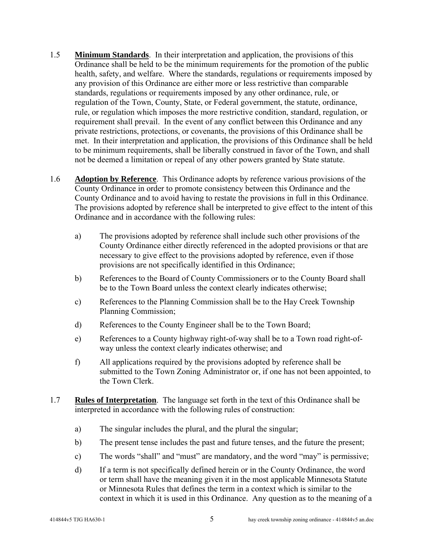- 1.5 **Minimum Standards**. In their interpretation and application, the provisions of this Ordinance shall be held to be the minimum requirements for the promotion of the public health, safety, and welfare. Where the standards, regulations or requirements imposed by any provision of this Ordinance are either more or less restrictive than comparable standards, regulations or requirements imposed by any other ordinance, rule, or regulation of the Town, County, State, or Federal government, the statute, ordinance, rule, or regulation which imposes the more restrictive condition, standard, regulation, or requirement shall prevail. In the event of any conflict between this Ordinance and any private restrictions, protections, or covenants, the provisions of this Ordinance shall be met.In their interpretation and application, the provisions of this Ordinance shall be held to be minimum requirements, shall be liberally construed in favor of the Town, and shall not be deemed a limitation or repeal of any other powers granted by State statute.
- 1.6 **Adoption by Reference**. This Ordinance adopts by reference various provisions of the County Ordinance in order to promote consistency between this Ordinance and the County Ordinance and to avoid having to restate the provisions in full in this Ordinance. The provisions adopted by reference shall be interpreted to give effect to the intent of this Ordinance and in accordance with the following rules:
	- a) The provisions adopted by reference shall include such other provisions of the County Ordinance either directly referenced in the adopted provisions or that are necessary to give effect to the provisions adopted by reference, even if those provisions are not specifically identified in this Ordinance;
	- b) References to the Board of County Commissioners or to the County Board shall be to the Town Board unless the context clearly indicates otherwise;
	- c) References to the Planning Commission shall be to the Hay Creek Township Planning Commission;
	- d) References to the County Engineer shall be to the Town Board;
	- e) References to a County highway right-of-way shall be to a Town road right-ofway unless the context clearly indicates otherwise; and
	- f) All applications required by the provisions adopted by reference shall be submitted to the Town Zoning Administrator or, if one has not been appointed, to the Town Clerk.
- 1.7 **Rules of Interpretation**. The language set forth in the text of this Ordinance shall be interpreted in accordance with the following rules of construction:
	- a) The singular includes the plural, and the plural the singular;
	- b) The present tense includes the past and future tenses, and the future the present;
	- c) The words "shall" and "must" are mandatory, and the word "may" is permissive;
	- d) If a term is not specifically defined herein or in the County Ordinance, the word or term shall have the meaning given it in the most applicable Minnesota Statute or Minnesota Rules that defines the term in a context which is similar to the context in which it is used in this Ordinance. Any question as to the meaning of a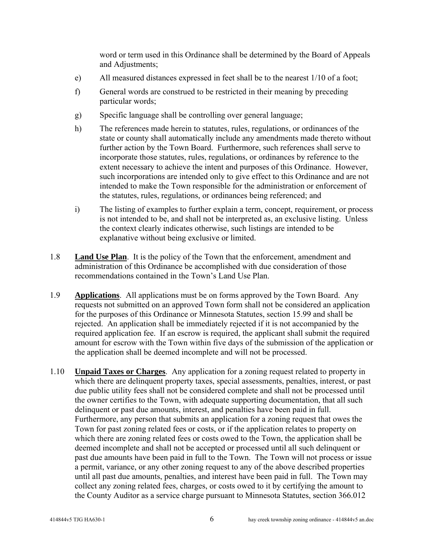word or term used in this Ordinance shall be determined by the Board of Appeals and Adjustments;

- e) All measured distances expressed in feet shall be to the nearest 1/10 of a foot;
- f) General words are construed to be restricted in their meaning by preceding particular words;
- g) Specific language shall be controlling over general language;
- h) The references made herein to statutes, rules, regulations, or ordinances of the state or county shall automatically include any amendments made thereto without further action by the Town Board. Furthermore, such references shall serve to incorporate those statutes, rules, regulations, or ordinances by reference to the extent necessary to achieve the intent and purposes of this Ordinance. However, such incorporations are intended only to give effect to this Ordinance and are not intended to make the Town responsible for the administration or enforcement of the statutes, rules, regulations, or ordinances being referenced; and
- i) The listing of examples to further explain a term, concept, requirement, or process is not intended to be, and shall not be interpreted as, an exclusive listing. Unless the context clearly indicates otherwise, such listings are intended to be explanative without being exclusive or limited.
- 1.8 **Land Use Plan**. It is the policy of the Town that the enforcement, amendment and administration of this Ordinance be accomplished with due consideration of those recommendations contained in the Town's Land Use Plan.
- 1.9 **Applications**. All applications must be on forms approved by the Town Board. Any requests not submitted on an approved Town form shall not be considered an application for the purposes of this Ordinance or Minnesota Statutes, section 15.99 and shall be rejected. An application shall be immediately rejected if it is not accompanied by the required application fee. If an escrow is required, the applicant shall submit the required amount for escrow with the Town within five days of the submission of the application or the application shall be deemed incomplete and will not be processed.
- 1.10 **Unpaid Taxes or Charges**. Any application for a zoning request related to property in which there are delinquent property taxes, special assessments, penalties, interest, or past due public utility fees shall not be considered complete and shall not be processed until the owner certifies to the Town, with adequate supporting documentation, that all such delinquent or past due amounts, interest, and penalties have been paid in full. Furthermore, any person that submits an application for a zoning request that owes the Town for past zoning related fees or costs, or if the application relates to property on which there are zoning related fees or costs owed to the Town, the application shall be deemed incomplete and shall not be accepted or processed until all such delinquent or past due amounts have been paid in full to the Town. The Town will not process or issue a permit, variance, or any other zoning request to any of the above described properties until all past due amounts, penalties, and interest have been paid in full. The Town may collect any zoning related fees, charges, or costs owed to it by certifying the amount to the County Auditor as a service charge pursuant to Minnesota Statutes, section 366.012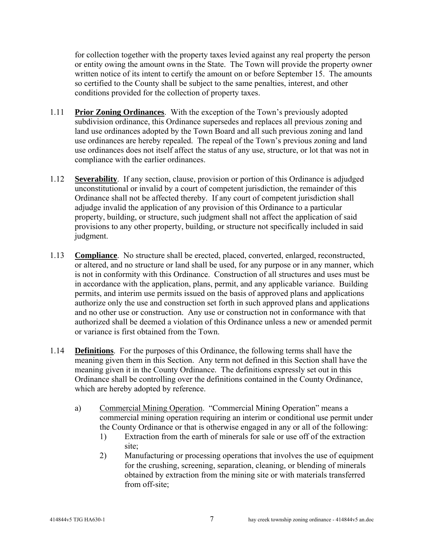for collection together with the property taxes levied against any real property the person or entity owing the amount owns in the State. The Town will provide the property owner written notice of its intent to certify the amount on or before September 15. The amounts so certified to the County shall be subject to the same penalties, interest, and other conditions provided for the collection of property taxes.

- 1.11 **Prior Zoning Ordinances**. With the exception of the Town's previously adopted subdivision ordinance, this Ordinance supersedes and replaces all previous zoning and land use ordinances adopted by the Town Board and all such previous zoning and land use ordinances are hereby repealed. The repeal of the Town's previous zoning and land use ordinances does not itself affect the status of any use, structure, or lot that was not in compliance with the earlier ordinances.
- 1.12 **Severability**. If any section, clause, provision or portion of this Ordinance is adjudged unconstitutional or invalid by a court of competent jurisdiction, the remainder of this Ordinance shall not be affected thereby. If any court of competent jurisdiction shall adjudge invalid the application of any provision of this Ordinance to a particular property, building, or structure, such judgment shall not affect the application of said provisions to any other property, building, or structure not specifically included in said judgment.
- 1.13 **Compliance**. No structure shall be erected, placed, converted, enlarged, reconstructed, or altered, and no structure or land shall be used, for any purpose or in any manner, which is not in conformity with this Ordinance. Construction of all structures and uses must be in accordance with the application, plans, permit, and any applicable variance. Building permits, and interim use permits issued on the basis of approved plans and applications authorize only the use and construction set forth in such approved plans and applications and no other use or construction. Any use or construction not in conformance with that authorized shall be deemed a violation of this Ordinance unless a new or amended permit or variance is first obtained from the Town.
- 1.14 **Definitions**. For the purposes of this Ordinance, the following terms shall have the meaning given them in this Section. Any term not defined in this Section shall have the meaning given it in the County Ordinance. The definitions expressly set out in this Ordinance shall be controlling over the definitions contained in the County Ordinance, which are hereby adopted by reference.
	- a) Commercial Mining Operation. "Commercial Mining Operation" means a commercial mining operation requiring an interim or conditional use permit under the County Ordinance or that is otherwise engaged in any or all of the following:
		- 1) Extraction from the earth of minerals for sale or use off of the extraction site;
		- 2) Manufacturing or processing operations that involves the use of equipment for the crushing, screening, separation, cleaning, or blending of minerals obtained by extraction from the mining site or with materials transferred from off-site;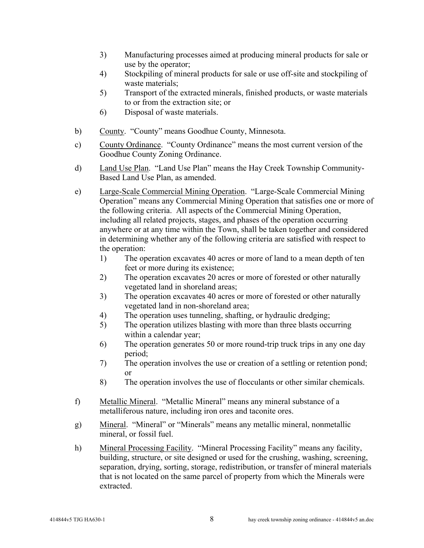- 3) Manufacturing processes aimed at producing mineral products for sale or use by the operator;
- 4) Stockpiling of mineral products for sale or use off-site and stockpiling of waste materials;
- 5) Transport of the extracted minerals, finished products, or waste materials to or from the extraction site; or
- 6) Disposal of waste materials.
- b) County. "County" means Goodhue County, Minnesota.
- c) County Ordinance. "County Ordinance" means the most current version of the Goodhue County Zoning Ordinance.
- d) Land Use Plan. "Land Use Plan" means the Hay Creek Township Community-Based Land Use Plan, as amended.
- e) Large-Scale Commercial Mining Operation. "Large-Scale Commercial Mining Operation" means any Commercial Mining Operation that satisfies one or more of the following criteria. All aspects of the Commercial Mining Operation, including all related projects, stages, and phases of the operation occurring anywhere or at any time within the Town, shall be taken together and considered in determining whether any of the following criteria are satisfied with respect to the operation:
	- 1) The operation excavates 40 acres or more of land to a mean depth of ten feet or more during its existence;
	- 2) The operation excavates 20 acres or more of forested or other naturally vegetated land in shoreland areas;
	- 3) The operation excavates 40 acres or more of forested or other naturally vegetated land in non-shoreland area;
	- 4) The operation uses tunneling, shafting, or hydraulic dredging;
	- 5) The operation utilizes blasting with more than three blasts occurring within a calendar year;
	- 6) The operation generates 50 or more round-trip truck trips in any one day period;
	- 7) The operation involves the use or creation of a settling or retention pond; or
	- 8) The operation involves the use of flocculants or other similar chemicals.
- f) Metallic Mineral. "Metallic Mineral" means any mineral substance of a metalliferous nature, including iron ores and taconite ores.
- g) Mineral. "Mineral" or "Minerals" means any metallic mineral, nonmetallic mineral, or fossil fuel.
- h) Mineral Processing Facility. "Mineral Processing Facility" means any facility, building, structure, or site designed or used for the crushing, washing, screening, separation, drying, sorting, storage, redistribution, or transfer of mineral materials that is not located on the same parcel of property from which the Minerals were extracted.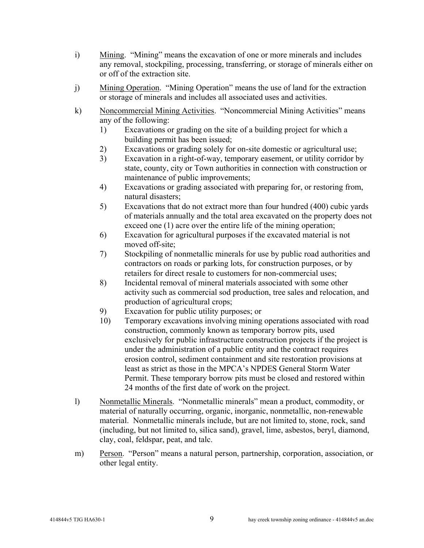- i) Mining. "Mining" means the excavation of one or more minerals and includes any removal, stockpiling, processing, transferring, or storage of minerals either on or off of the extraction site.
- j) Mining Operation. "Mining Operation" means the use of land for the extraction or storage of minerals and includes all associated uses and activities.
- k) Noncommercial Mining Activities. "Noncommercial Mining Activities" means any of the following:
	- 1) Excavations or grading on the site of a building project for which a building permit has been issued;
	- 2) Excavations or grading solely for on-site domestic or agricultural use;
	- 3) Excavation in a right-of-way, temporary easement, or utility corridor by state, county, city or Town authorities in connection with construction or maintenance of public improvements;
	- 4) Excavations or grading associated with preparing for, or restoring from, natural disasters;
	- 5) Excavations that do not extract more than four hundred (400) cubic yards of materials annually and the total area excavated on the property does not exceed one (1) acre over the entire life of the mining operation;
	- 6) Excavation for agricultural purposes if the excavated material is not moved off-site;
	- 7) Stockpiling of nonmetallic minerals for use by public road authorities and contractors on roads or parking lots, for construction purposes, or by retailers for direct resale to customers for non-commercial uses;
	- 8) Incidental removal of mineral materials associated with some other activity such as commercial sod production, tree sales and relocation, and production of agricultural crops;
	- 9) Excavation for public utility purposes; or
	- 10) Temporary excavations involving mining operations associated with road construction, commonly known as temporary borrow pits, used exclusively for public infrastructure construction projects if the project is under the administration of a public entity and the contract requires erosion control, sediment containment and site restoration provisions at least as strict as those in the MPCA's NPDES General Storm Water Permit. These temporary borrow pits must be closed and restored within 24 months of the first date of work on the project.
- l) Nonmetallic Minerals. "Nonmetallic minerals" mean a product, commodity, or material of naturally occurring, organic, inorganic, nonmetallic, non-renewable material. Nonmetallic minerals include, but are not limited to, stone, rock, sand (including, but not limited to, silica sand), gravel, lime, asbestos, beryl, diamond, clay, coal, feldspar, peat, and talc.
- m) Person. "Person" means a natural person, partnership, corporation, association, or other legal entity.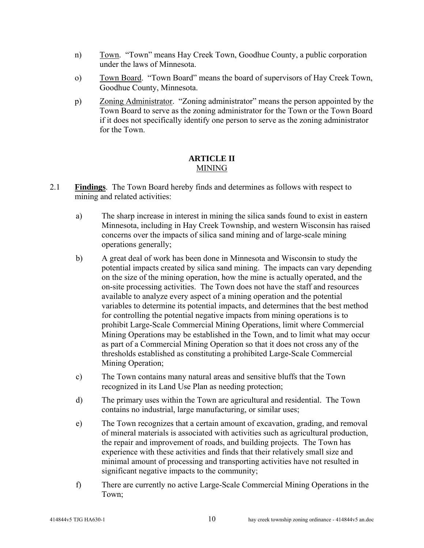- n) Town. "Town" means Hay Creek Town, Goodhue County, a public corporation under the laws of Minnesota.
- o) Town Board. "Town Board" means the board of supervisors of Hay Creek Town, Goodhue County, Minnesota.
- p) Zoning Administrator. "Zoning administrator" means the person appointed by the Town Board to serve as the zoning administrator for the Town or the Town Board if it does not specifically identify one person to serve as the zoning administrator for the Town.

### **ARTICLE II**  MINING

- 2.1 **Findings**. The Town Board hereby finds and determines as follows with respect to mining and related activities:
	- a) The sharp increase in interest in mining the silica sands found to exist in eastern Minnesota, including in Hay Creek Township, and western Wisconsin has raised concerns over the impacts of silica sand mining and of large-scale mining operations generally;
	- b) A great deal of work has been done in Minnesota and Wisconsin to study the potential impacts created by silica sand mining. The impacts can vary depending on the size of the mining operation, how the mine is actually operated, and the on-site processing activities. The Town does not have the staff and resources available to analyze every aspect of a mining operation and the potential variables to determine its potential impacts, and determines that the best method for controlling the potential negative impacts from mining operations is to prohibit Large-Scale Commercial Mining Operations, limit where Commercial Mining Operations may be established in the Town, and to limit what may occur as part of a Commercial Mining Operation so that it does not cross any of the thresholds established as constituting a prohibited Large-Scale Commercial Mining Operation;
	- c) The Town contains many natural areas and sensitive bluffs that the Town recognized in its Land Use Plan as needing protection;
	- d) The primary uses within the Town are agricultural and residential. The Town contains no industrial, large manufacturing, or similar uses;
	- e) The Town recognizes that a certain amount of excavation, grading, and removal of mineral materials is associated with activities such as agricultural production, the repair and improvement of roads, and building projects. The Town has experience with these activities and finds that their relatively small size and minimal amount of processing and transporting activities have not resulted in significant negative impacts to the community;
	- f) There are currently no active Large-Scale Commercial Mining Operations in the Town;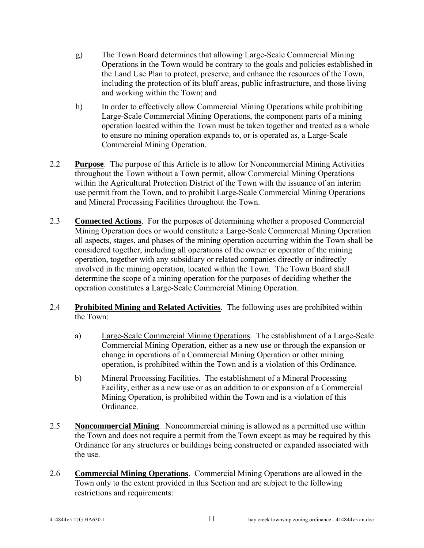- g) The Town Board determines that allowing Large-Scale Commercial Mining Operations in the Town would be contrary to the goals and policies established in the Land Use Plan to protect, preserve, and enhance the resources of the Town, including the protection of its bluff areas, public infrastructure, and those living and working within the Town; and
- h) In order to effectively allow Commercial Mining Operations while prohibiting Large-Scale Commercial Mining Operations, the component parts of a mining operation located within the Town must be taken together and treated as a whole to ensure no mining operation expands to, or is operated as, a Large-Scale Commercial Mining Operation.
- 2.2 **Purpose**. The purpose of this Article is to allow for Noncommercial Mining Activities throughout the Town without a Town permit, allow Commercial Mining Operations within the Agricultural Protection District of the Town with the issuance of an interim use permit from the Town, and to prohibit Large-Scale Commercial Mining Operations and Mineral Processing Facilities throughout the Town.
- 2.3 **Connected Actions**. For the purposes of determining whether a proposed Commercial Mining Operation does or would constitute a Large-Scale Commercial Mining Operation all aspects, stages, and phases of the mining operation occurring within the Town shall be considered together, including all operations of the owner or operator of the mining operation, together with any subsidiary or related companies directly or indirectly involved in the mining operation, located within the Town. The Town Board shall determine the scope of a mining operation for the purposes of deciding whether the operation constitutes a Large-Scale Commercial Mining Operation.
- 2.4 **Prohibited Mining and Related Activities**. The following uses are prohibited within the Town:
	- a) Large-Scale Commercial Mining Operations. The establishment of a Large-Scale Commercial Mining Operation, either as a new use or through the expansion or change in operations of a Commercial Mining Operation or other mining operation, is prohibited within the Town and is a violation of this Ordinance.
	- b) Mineral Processing Facilities. The establishment of a Mineral Processing Facility, either as a new use or as an addition to or expansion of a Commercial Mining Operation, is prohibited within the Town and is a violation of this Ordinance.
- 2.5 **Noncommercial Mining**. Noncommercial mining is allowed as a permitted use within the Town and does not require a permit from the Town except as may be required by this Ordinance for any structures or buildings being constructed or expanded associated with the use.
- 2.6 **Commercial Mining Operations**. Commercial Mining Operations are allowed in the Town only to the extent provided in this Section and are subject to the following restrictions and requirements: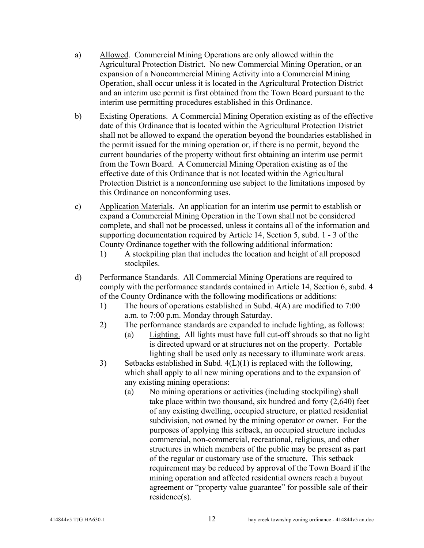- a) Allowed. Commercial Mining Operations are only allowed within the Agricultural Protection District. No new Commercial Mining Operation, or an expansion of a Noncommercial Mining Activity into a Commercial Mining Operation, shall occur unless it is located in the Agricultural Protection District and an interim use permit is first obtained from the Town Board pursuant to the interim use permitting procedures established in this Ordinance.
- b) Existing Operations. A Commercial Mining Operation existing as of the effective date of this Ordinance that is located within the Agricultural Protection District shall not be allowed to expand the operation beyond the boundaries established in the permit issued for the mining operation or, if there is no permit, beyond the current boundaries of the property without first obtaining an interim use permit from the Town Board. A Commercial Mining Operation existing as of the effective date of this Ordinance that is not located within the Agricultural Protection District is a nonconforming use subject to the limitations imposed by this Ordinance on nonconforming uses.
- c) Application Materials. An application for an interim use permit to establish or expand a Commercial Mining Operation in the Town shall not be considered complete, and shall not be processed, unless it contains all of the information and supporting documentation required by Article 14, Section 5, subd. 1 - 3 of the County Ordinance together with the following additional information:
	- 1) A stockpiling plan that includes the location and height of all proposed stockpiles.
- d) Performance Standards. All Commercial Mining Operations are required to comply with the performance standards contained in Article 14, Section 6, subd. 4 of the County Ordinance with the following modifications or additions:
	- 1) The hours of operations established in Subd. 4(A) are modified to 7:00 a.m. to 7:00 p.m. Monday through Saturday.
	- 2) The performance standards are expanded to include lighting, as follows:
		- (a) Lighting. All lights must have full cut-off shrouds so that no light is directed upward or at structures not on the property. Portable lighting shall be used only as necessary to illuminate work areas.
	- 3) Setbacks established in Subd. 4(L)(1) is replaced with the following, which shall apply to all new mining operations and to the expansion of any existing mining operations:
		- (a) No mining operations or activities (including stockpiling) shall take place within two thousand, six hundred and forty (2,640) feet of any existing dwelling, occupied structure, or platted residential subdivision, not owned by the mining operator or owner. For the purposes of applying this setback, an occupied structure includes commercial, non-commercial, recreational, religious, and other structures in which members of the public may be present as part of the regular or customary use of the structure. This setback requirement may be reduced by approval of the Town Board if the mining operation and affected residential owners reach a buyout agreement or "property value guarantee" for possible sale of their residence(s).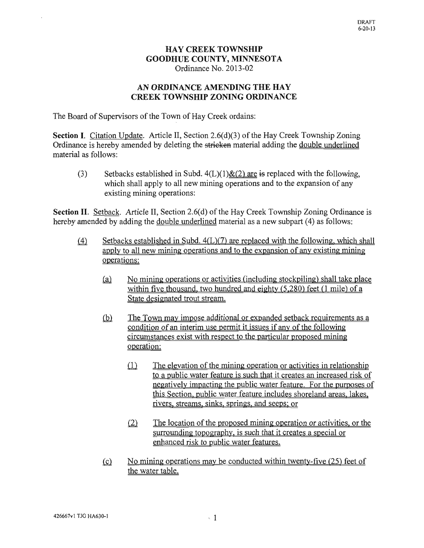## **HAY CREEK TOWNSHIP GOODHUE COUNTY, MINNESOTA** Ordinance No. 2013-02

## AN ORDINANCE AMENDING THE HAY **CREEK TOWNSHIP ZONING ORDINANCE**

The Board of Supervisors of the Town of Hay Creek ordains:

**Section I.** Citation Update. Article II, Section 2.6(d)(3) of the Hay Creek Township Zoning Ordinance is hereby amended by deleting the stricken material adding the double underlined material as follows:

 $(3)$ Setbacks established in Subd.  $4(L)(1) \& (2)$  are is replaced with the following, which shall apply to all new mining operations and to the expansion of any existing mining operations:

**Section II.** Setback. Article II, Section 2.6(d) of the Hay Creek Township Zoning Ordinance is hereby amended by adding the double underlined material as a new subpart (4) as follows:

- Setbacks established in Subd.  $4(L)(7)$  are replaced with the following, which shall  $(4)$ apply to all new mining operations and to the expansion of any existing mining operations:
	- No mining operations or activities (including stockpiling) shall take place  $(a)$ within five thousand, two hundred and eighty  $(5,280)$  feet  $(1 \text{ mile})$  of a State designated trout stream.
	- $(b)$ The Town may impose additional or expanded setback requirements as a condition of an interim use permit it issues if any of the following circumstances exist with respect to the particular proposed mining operation:
		- $(1)$ The elevation of the mining operation or activities in relationship to a public water feature is such that it creates an increased risk of negatively impacting the public water feature. For the purposes of this Section, public water feature includes shoreland areas, lakes, rivers, streams, sinks, springs, and seeps; or
		- $(2)$ The location of the proposed mining operation or activities, or the surrounding topography, is such that it creates a special or enhanced risk to public water features.
	- No mining operations may be conducted within twenty-five (25) feet of  $(c)$ the water table.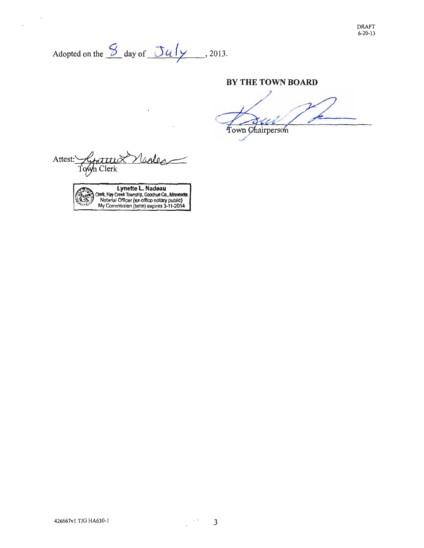Adopted on the  $\frac{S}{2}$  day of  $\frac{Ju/y}{2}$ , 2013.

#### BY THE TOWN BOARD

L

Town Chairperson

Attest: - Y|  $calo$ <u>Kituttii X</u> Town Clerk

 $\overline{a}$ 

 $\mathcal{L}$ 

Lynette L. Nadeau<br>Clerk, Hay Creek Township, Goodhue Co., Minnesota<br>Notarial Officer (ex-office notary public)<br>My Commission (term) expires 3-11-2014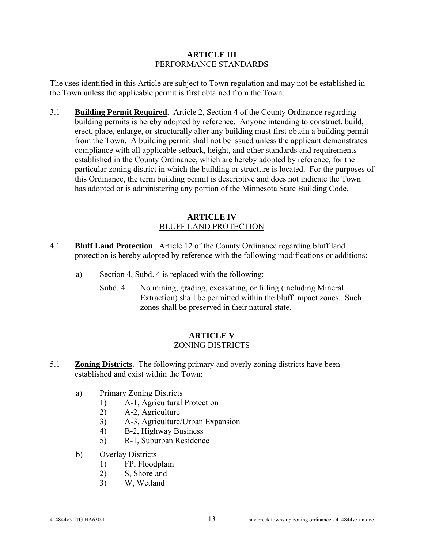#### **ARTICLE III**  PERFORMANCE STANDARDS

The uses identified in this Article are subject to Town regulation and may not be established in the Town unless the applicable permit is first obtained from the Town.

3.1 **Building Permit Required**. Article 2, Section 4 of the County Ordinance regarding building permits is hereby adopted by reference. Anyone intending to construct, build, erect, place, enlarge, or structurally alter any building must first obtain a building permit from the Town. A building permit shall not be issued unless the applicant demonstrates compliance with all applicable setback, height, and other standards and requirements established in the County Ordinance, which are hereby adopted by reference, for the particular zoning district in which the building or structure is located. For the purposes of this Ordinance, the term building permit is descriptive and does not indicate the Town has adopted or is administering any portion of the Minnesota State Building Code.

### **ARTICLE IV**  BLUFF LAND PROTECTION

- 4.1 **Bluff Land Protection**. Article 12 of the County Ordinance regarding bluff land protection is hereby adopted by reference with the following modifications or additions:
	- a) Section 4, Subd. 4 is replaced with the following:
		- Subd. 4. No mining, grading, excavating, or filling (including Mineral Extraction) shall be permitted within the bluff impact zones. Such zones shall be preserved in their natural state.

## **ARTICLE V**  ZONING DISTRICTS

- 5.1 **Zoning Districts**. The following primary and overly zoning districts have been established and exist within the Town:
	- a) Primary Zoning Districts
		- 1) A-1, Agricultural Protection
		- 2) A-2, Agriculture
		- 3) A-3, Agriculture/Urban Expansion
		- 4) B-2, Highway Business
		- 5) R-1, Suburban Residence
	- b) Overlay Districts
		- 1) FP, Floodplain
		- 2) S, Shoreland
		- 3) W, Wetland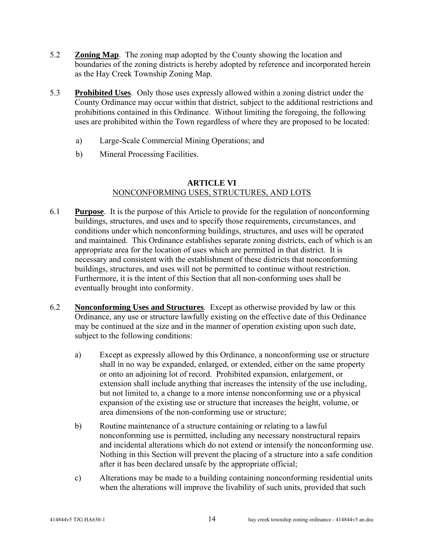- 5.2 **Zoning Map**. The zoning map adopted by the County showing the location and boundaries of the zoning districts is hereby adopted by reference and incorporated herein as the Hay Creek Township Zoning Map.
- 5.3 **Prohibited Uses**. Only those uses expressly allowed within a zoning district under the County Ordinance may occur within that district, subject to the additional restrictions and prohibitions contained in this Ordinance. Without limiting the foregoing, the following uses are prohibited within the Town regardless of where they are proposed to be located:
	- a) Large-Scale Commercial Mining Operations; and
	- b) Mineral Processing Facilities.

# **ARTICLE VI**

# NONCONFORMING USES, STRUCTURES, AND LOTS

- 6.1 **Purpose**. It is the purpose of this Article to provide for the regulation of nonconforming buildings, structures, and uses and to specify those requirements, circumstances, and conditions under which nonconforming buildings, structures, and uses will be operated and maintained. This Ordinance establishes separate zoning districts, each of which is an appropriate area for the location of uses which are permitted in that district. It is necessary and consistent with the establishment of these districts that nonconforming buildings, structures, and uses will not be permitted to continue without restriction. Furthermore, it is the intent of this Section that all non-conforming uses shall be eventually brought into conformity.
- 6.2 **Nonconforming Uses and Structures**. Except as otherwise provided by law or this Ordinance, any use or structure lawfully existing on the effective date of this Ordinance may be continued at the size and in the manner of operation existing upon such date, subject to the following conditions:
	- a) Except as expressly allowed by this Ordinance, a nonconforming use or structure shall in no way be expanded, enlarged, or extended, either on the same property or onto an adjoining lot of record. Prohibited expansion, enlargement, or extension shall include anything that increases the intensity of the use including, but not limited to, a change to a more intense nonconforming use or a physical expansion of the existing use or structure that increases the height, volume, or area dimensions of the non-conforming use or structure;
	- b) Routine maintenance of a structure containing or relating to a lawful nonconforming use is permitted, including any necessary nonstructural repairs and incidental alterations which do not extend or intensify the nonconforming use. Nothing in this Section will prevent the placing of a structure into a safe condition after it has been declared unsafe by the appropriate official;
	- c) Alterations may be made to a building containing nonconforming residential units when the alterations will improve the livability of such units, provided that such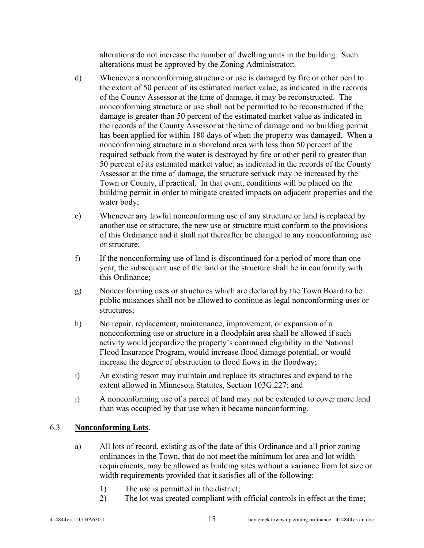alterations do not increase the number of dwelling units in the building. Such alterations must be approved by the Zoning Administrator;

- d) Whenever a nonconforming structure or use is damaged by fire or other peril to the extent of 50 percent of its estimated market value, as indicated in the records of the County Assessor at the time of damage, it may be reconstructed. The nonconforming structure or use shall not be permitted to be reconstructed if the damage is greater than 50 percent of the estimated market value as indicated in the records of the County Assessor at the time of damage and no building permit has been applied for within 180 days of when the property was damaged. When a nonconforming structure in a shoreland area with less than 50 percent of the required setback from the water is destroyed by fire or other peril to greater than 50 percent of its estimated market value, as indicated in the records of the County Assessor at the time of damage, the structure setback may be increased by the Town or County, if practical. In that event, conditions will be placed on the building permit in order to mitigate created impacts on adjacent properties and the water body;
- e) Whenever any lawful nonconforming use of any structure or land is replaced by another use or structure, the new use or structure must conform to the provisions of this Ordinance and it shall not thereafter be changed to any nonconforming use or structure;
- f) If the nonconforming use of land is discontinued for a period of more than one year, the subsequent use of the land or the structure shall be in conformity with this Ordinance;
- g) Nonconforming uses or structures which are declared by the Town Board to be public nuisances shall not be allowed to continue as legal nonconforming uses or structures;
- h) No repair, replacement, maintenance, improvement, or expansion of a nonconforming use or structure in a floodplain area shall be allowed if such activity would jeopardize the property's continued eligibility in the National Flood Insurance Program, would increase flood damage potential, or would increase the degree of obstruction to flood flows in the floodway;
- i) An existing resort may maintain and replace its structures and expand to the extent allowed in Minnesota Statutes, Section 103G.227; and
- j) A nonconforming use of a parcel of land may not be extended to cover more land than was occupied by that use when it became nonconforming.

## 6.3 **Nonconforming Lots**.

- a) All lots of record, existing as of the date of this Ordinance and all prior zoning ordinances in the Town, that do not meet the minimum lot area and lot width requirements, may be allowed as building sites without a variance from lot size or width requirements provided that it satisfies all of the following:
	- 1) The use is permitted in the district;
	- 2) The lot was created compliant with official controls in effect at the time;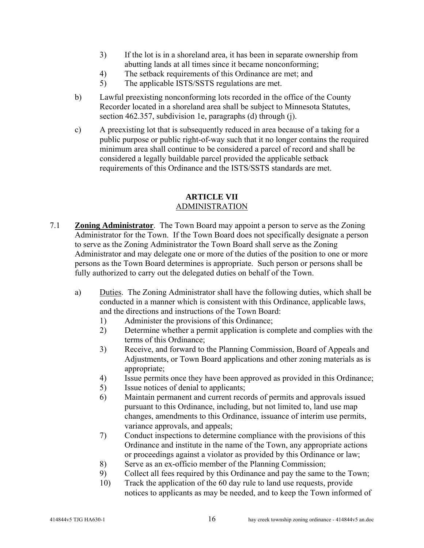- 3) If the lot is in a shoreland area, it has been in separate ownership from abutting lands at all times since it became nonconforming;
- 4) The setback requirements of this Ordinance are met; and
- 5) The applicable ISTS/SSTS regulations are met.
- b) Lawful preexisting nonconforming lots recorded in the office of the County Recorder located in a shoreland area shall be subject to Minnesota Statutes, section 462.357, subdivision 1e, paragraphs (d) through (j).
- c) A preexisting lot that is subsequently reduced in area because of a taking for a public purpose or public right-of-way such that it no longer contains the required minimum area shall continue to be considered a parcel of record and shall be considered a legally buildable parcel provided the applicable setback requirements of this Ordinance and the ISTS/SSTS standards are met.

#### **ARTICLE VII**  ADMINISTRATION

- 7.1 **Zoning Administrator**. The Town Board may appoint a person to serve as the Zoning Administrator for the Town. If the Town Board does not specifically designate a person to serve as the Zoning Administrator the Town Board shall serve as the Zoning Administrator and may delegate one or more of the duties of the position to one or more persons as the Town Board determines is appropriate. Such person or persons shall be fully authorized to carry out the delegated duties on behalf of the Town.
	- a) Duties. The Zoning Administrator shall have the following duties, which shall be conducted in a manner which is consistent with this Ordinance, applicable laws, and the directions and instructions of the Town Board:
		- 1) Administer the provisions of this Ordinance;
		- 2) Determine whether a permit application is complete and complies with the terms of this Ordinance;
		- 3) Receive, and forward to the Planning Commission, Board of Appeals and Adjustments, or Town Board applications and other zoning materials as is appropriate;
		- 4) Issue permits once they have been approved as provided in this Ordinance;
		- 5) Issue notices of denial to applicants;
		- 6) Maintain permanent and current records of permits and approvals issued pursuant to this Ordinance, including, but not limited to, land use map changes, amendments to this Ordinance, issuance of interim use permits, variance approvals, and appeals;
		- 7) Conduct inspections to determine compliance with the provisions of this Ordinance and institute in the name of the Town, any appropriate actions or proceedings against a violator as provided by this Ordinance or law;
		- 8) Serve as an ex-officio member of the Planning Commission;
		- 9) Collect all fees required by this Ordinance and pay the same to the Town;
		- 10) Track the application of the 60 day rule to land use requests, provide notices to applicants as may be needed, and to keep the Town informed of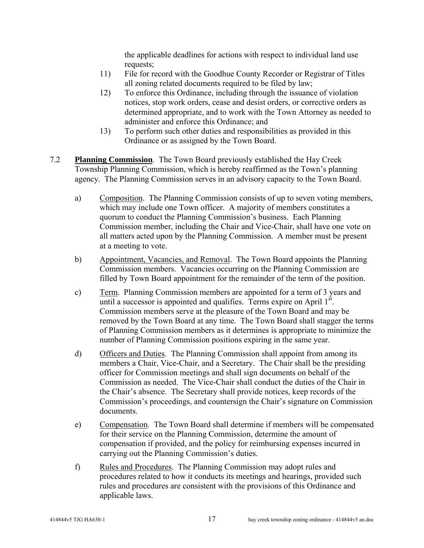the applicable deadlines for actions with respect to individual land use requests;

- 11) File for record with the Goodhue County Recorder or Registrar of Titles all zoning related documents required to be filed by law;
- 12) To enforce this Ordinance, including through the issuance of violation notices, stop work orders, cease and desist orders, or corrective orders as determined appropriate, and to work with the Town Attorney as needed to administer and enforce this Ordinance; and
- 13) To perform such other duties and responsibilities as provided in this Ordinance or as assigned by the Town Board.
- 7.2 **Planning Commission**. The Town Board previously established the Hay Creek Township Planning Commission, which is hereby reaffirmed as the Town's planning agency. The Planning Commission serves in an advisory capacity to the Town Board.
	- a) Composition. The Planning Commission consists of up to seven voting members, which may include one Town officer. A majority of members constitutes a quorum to conduct the Planning Commission's business. Each Planning Commission member, including the Chair and Vice-Chair, shall have one vote on all matters acted upon by the Planning Commission. A member must be present at a meeting to vote.
	- b) Appointment, Vacancies, and Removal. The Town Board appoints the Planning Commission members. Vacancies occurring on the Planning Commission are filled by Town Board appointment for the remainder of the term of the position.
	- c) Term. Planning Commission members are appointed for a term of 3 years and until a successor is appointed and qualifies. Terms expire on April  $1<sup>st</sup>$ . Commission members serve at the pleasure of the Town Board and may be removed by the Town Board at any time. The Town Board shall stagger the terms of Planning Commission members as it determines is appropriate to minimize the number of Planning Commission positions expiring in the same year.
	- d) Officers and Duties. The Planning Commission shall appoint from among its members a Chair, Vice-Chair, and a Secretary. The Chair shall be the presiding officer for Commission meetings and shall sign documents on behalf of the Commission as needed. The Vice-Chair shall conduct the duties of the Chair in the Chair's absence. The Secretary shall provide notices, keep records of the Commission's proceedings, and countersign the Chair's signature on Commission documents.
	- e) Compensation. The Town Board shall determine if members will be compensated for their service on the Planning Commission, determine the amount of compensation if provided, and the policy for reimbursing expenses incurred in carrying out the Planning Commission's duties.
	- f) Rules and Procedures. The Planning Commission may adopt rules and procedures related to how it conducts its meetings and hearings, provided such rules and procedures are consistent with the provisions of this Ordinance and applicable laws.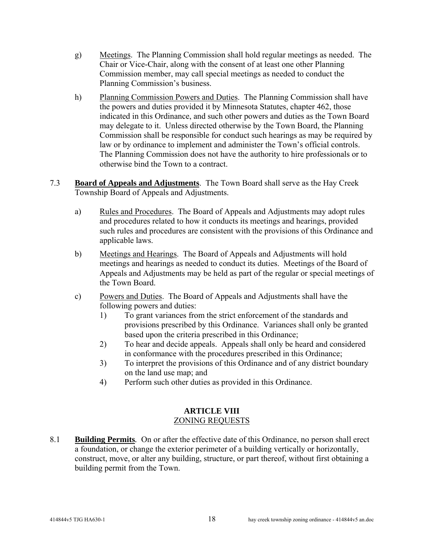- g) Meetings. The Planning Commission shall hold regular meetings as needed. The Chair or Vice-Chair, along with the consent of at least one other Planning Commission member, may call special meetings as needed to conduct the Planning Commission's business.
- h) Planning Commission Powers and Duties. The Planning Commission shall have the powers and duties provided it by Minnesota Statutes, chapter 462, those indicated in this Ordinance, and such other powers and duties as the Town Board may delegate to it. Unless directed otherwise by the Town Board, the Planning Commission shall be responsible for conduct such hearings as may be required by law or by ordinance to implement and administer the Town's official controls. The Planning Commission does not have the authority to hire professionals or to otherwise bind the Town to a contract.
- 7.3 **Board of Appeals and Adjustments**. The Town Board shall serve as the Hay Creek Township Board of Appeals and Adjustments.
	- a) Rules and Procedures. The Board of Appeals and Adjustments may adopt rules and procedures related to how it conducts its meetings and hearings, provided such rules and procedures are consistent with the provisions of this Ordinance and applicable laws.
	- b) Meetings and Hearings. The Board of Appeals and Adjustments will hold meetings and hearings as needed to conduct its duties. Meetings of the Board of Appeals and Adjustments may be held as part of the regular or special meetings of the Town Board.
	- c) Powers and Duties. The Board of Appeals and Adjustments shall have the following powers and duties:
		- 1) To grant variances from the strict enforcement of the standards and provisions prescribed by this Ordinance. Variances shall only be granted based upon the criteria prescribed in this Ordinance;
		- 2) To hear and decide appeals. Appeals shall only be heard and considered in conformance with the procedures prescribed in this Ordinance;
		- 3) To interpret the provisions of this Ordinance and of any district boundary on the land use map; and
		- 4) Perform such other duties as provided in this Ordinance.

### **ARTICLE VIII**  ZONING REQUESTS

8.1 **Building Permits***.* On or after the effective date of this Ordinance, no person shall erect a foundation, or change the exterior perimeter of a building vertically or horizontally, construct, move, or alter any building, structure, or part thereof, without first obtaining a building permit from the Town.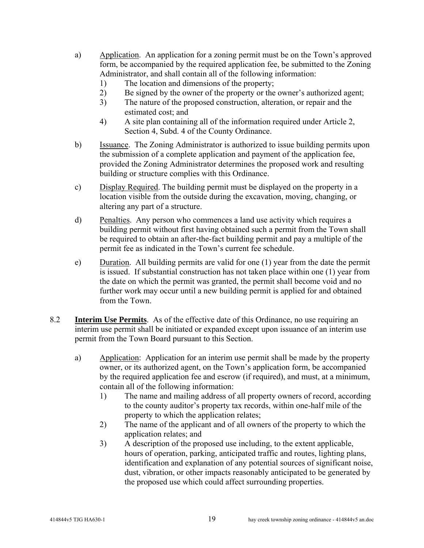- a) Application. An application for a zoning permit must be on the Town's approved form, be accompanied by the required application fee, be submitted to the Zoning Administrator, and shall contain all of the following information:
	- 1) The location and dimensions of the property;
	- 2) Be signed by the owner of the property or the owner's authorized agent;
	- 3) The nature of the proposed construction, alteration, or repair and the estimated cost; and
	- 4) A site plan containing all of the information required under Article 2, Section 4, Subd. 4 of the County Ordinance.
- b) Issuance. The Zoning Administrator is authorized to issue building permits upon the submission of a complete application and payment of the application fee, provided the Zoning Administrator determines the proposed work and resulting building or structure complies with this Ordinance.
- c) Display Required. The building permit must be displayed on the property in a location visible from the outside during the excavation, moving, changing, or altering any part of a structure.
- d) Penalties. Any person who commences a land use activity which requires a building permit without first having obtained such a permit from the Town shall be required to obtain an after-the-fact building permit and pay a multiple of the permit fee as indicated in the Town's current fee schedule.
- e) Duration. All building permits are valid for one (1) year from the date the permit is issued. If substantial construction has not taken place within one (1) year from the date on which the permit was granted, the permit shall become void and no further work may occur until a new building permit is applied for and obtained from the Town.
- 8.2 **Interim Use Permits**. As of the effective date of this Ordinance, no use requiring an interim use permit shall be initiated or expanded except upon issuance of an interim use permit from the Town Board pursuant to this Section.
	- a) Application: Application for an interim use permit shall be made by the property owner, or its authorized agent, on the Town's application form, be accompanied by the required application fee and escrow (if required), and must, at a minimum, contain all of the following information:
		- 1) The name and mailing address of all property owners of record, according to the county auditor's property tax records, within one-half mile of the property to which the application relates;
		- 2) The name of the applicant and of all owners of the property to which the application relates; and
		- 3) A description of the proposed use including, to the extent applicable, hours of operation, parking, anticipated traffic and routes, lighting plans, identification and explanation of any potential sources of significant noise, dust, vibration, or other impacts reasonably anticipated to be generated by the proposed use which could affect surrounding properties.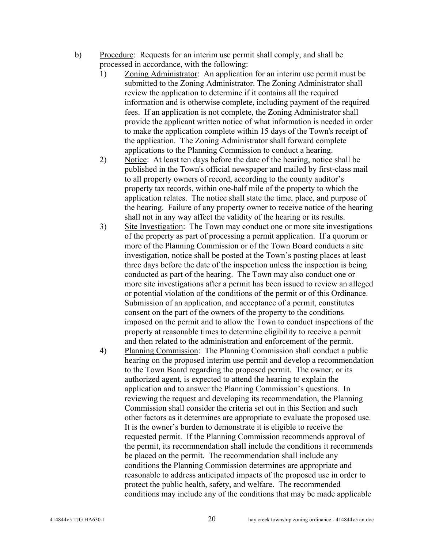- b) Procedure: Requests for an interim use permit shall comply, and shall be processed in accordance, with the following:
	- 1) Zoning Administrator: An application for an interim use permit must be submitted to the Zoning Administrator. The Zoning Administrator shall review the application to determine if it contains all the required information and is otherwise complete, including payment of the required fees. If an application is not complete, the Zoning Administrator shall provide the applicant written notice of what information is needed in order to make the application complete within 15 days of the Town's receipt of the application. The Zoning Administrator shall forward complete applications to the Planning Commission to conduct a hearing.
	- 2) Notice: At least ten days before the date of the hearing, notice shall be published in the Town's official newspaper and mailed by first-class mail to all property owners of record, according to the county auditor's property tax records, within one-half mile of the property to which the application relates. The notice shall state the time, place, and purpose of the hearing. Failure of any property owner to receive notice of the hearing shall not in any way affect the validity of the hearing or its results.
	- 3) Site Investigation: The Town may conduct one or more site investigations of the property as part of processing a permit application. If a quorum or more of the Planning Commission or of the Town Board conducts a site investigation, notice shall be posted at the Town's posting places at least three days before the date of the inspection unless the inspection is being conducted as part of the hearing. The Town may also conduct one or more site investigations after a permit has been issued to review an alleged or potential violation of the conditions of the permit or of this Ordinance. Submission of an application, and acceptance of a permit, constitutes consent on the part of the owners of the property to the conditions imposed on the permit and to allow the Town to conduct inspections of the property at reasonable times to determine eligibility to receive a permit and then related to the administration and enforcement of the permit.
	- 4) Planning Commission: The Planning Commission shall conduct a public hearing on the proposed interim use permit and develop a recommendation to the Town Board regarding the proposed permit. The owner, or its authorized agent, is expected to attend the hearing to explain the application and to answer the Planning Commission's questions. In reviewing the request and developing its recommendation, the Planning Commission shall consider the criteria set out in this Section and such other factors as it determines are appropriate to evaluate the proposed use. It is the owner's burden to demonstrate it is eligible to receive the requested permit. If the Planning Commission recommends approval of the permit, its recommendation shall include the conditions it recommends be placed on the permit. The recommendation shall include any conditions the Planning Commission determines are appropriate and reasonable to address anticipated impacts of the proposed use in order to protect the public health, safety, and welfare. The recommended conditions may include any of the conditions that may be made applicable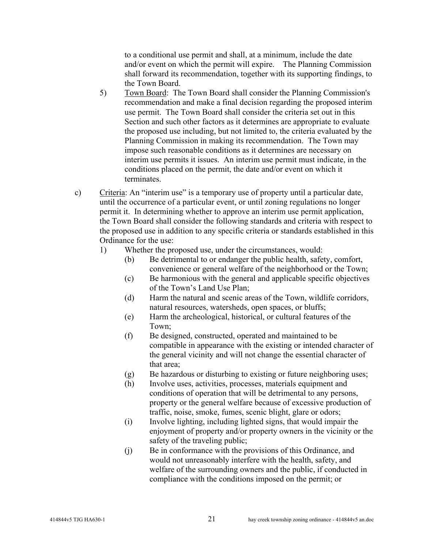to a conditional use permit and shall, at a minimum, include the date and/or event on which the permit will expire. The Planning Commission shall forward its recommendation, together with its supporting findings, to the Town Board.

- 5) Town Board: The Town Board shall consider the Planning Commission's recommendation and make a final decision regarding the proposed interim use permit. The Town Board shall consider the criteria set out in this Section and such other factors as it determines are appropriate to evaluate the proposed use including, but not limited to, the criteria evaluated by the Planning Commission in making its recommendation. The Town may impose such reasonable conditions as it determines are necessary on interim use permits it issues. An interim use permit must indicate, in the conditions placed on the permit, the date and/or event on which it terminates.
- c) Criteria: An "interim use" is a temporary use of property until a particular date, until the occurrence of a particular event, or until zoning regulations no longer permit it. In determining whether to approve an interim use permit application, the Town Board shall consider the following standards and criteria with respect to the proposed use in addition to any specific criteria or standards established in this Ordinance for the use:
	- 1) Whether the proposed use, under the circumstances, would:
		- (b) Be detrimental to or endanger the public health, safety, comfort, convenience or general welfare of the neighborhood or the Town;
		- (c) Be harmonious with the general and applicable specific objectives of the Town's Land Use Plan;
		- (d) Harm the natural and scenic areas of the Town, wildlife corridors, natural resources, watersheds, open spaces, or bluffs;
		- (e) Harm the archeological, historical, or cultural features of the Town;
		- (f) Be designed, constructed, operated and maintained to be compatible in appearance with the existing or intended character of the general vicinity and will not change the essential character of that area;
		- (g) Be hazardous or disturbing to existing or future neighboring uses;
		- (h) Involve uses, activities, processes, materials equipment and conditions of operation that will be detrimental to any persons, property or the general welfare because of excessive production of traffic, noise, smoke, fumes, scenic blight, glare or odors;
		- (i) Involve lighting, including lighted signs, that would impair the enjoyment of property and/or property owners in the vicinity or the safety of the traveling public;
		- (j) Be in conformance with the provisions of this Ordinance, and would not unreasonably interfere with the health, safety, and welfare of the surrounding owners and the public, if conducted in compliance with the conditions imposed on the permit; or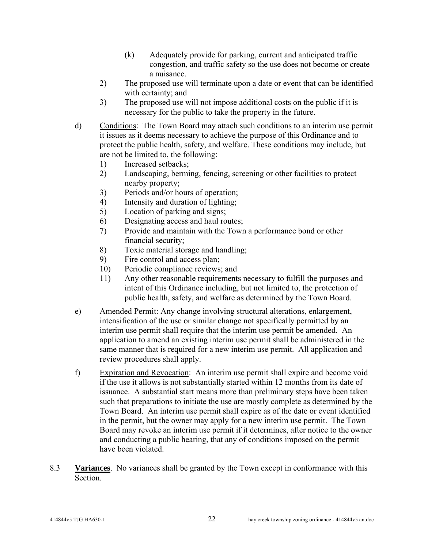- (k) Adequately provide for parking, current and anticipated traffic congestion, and traffic safety so the use does not become or create a nuisance.
- 2) The proposed use will terminate upon a date or event that can be identified with certainty; and
- 3) The proposed use will not impose additional costs on the public if it is necessary for the public to take the property in the future.
- d) Conditions: The Town Board may attach such conditions to an interim use permit it issues as it deems necessary to achieve the purpose of this Ordinance and to protect the public health, safety, and welfare. These conditions may include, but are not be limited to, the following:
	- 1) Increased setbacks;
	- 2) Landscaping, berming, fencing, screening or other facilities to protect nearby property;
	- 3) Periods and/or hours of operation;
	- 4) Intensity and duration of lighting;
	- 5) Location of parking and signs;
	- 6) Designating access and haul routes;
	- 7) Provide and maintain with the Town a performance bond or other financial security;
	- 8) Toxic material storage and handling;
	- 9) Fire control and access plan;
	- 10) Periodic compliance reviews; and
	- 11) Any other reasonable requirements necessary to fulfill the purposes and intent of this Ordinance including, but not limited to, the protection of public health, safety, and welfare as determined by the Town Board.
- e) Amended Permit: Any change involving structural alterations, enlargement, intensification of the use or similar change not specifically permitted by an interim use permit shall require that the interim use permit be amended. An application to amend an existing interim use permit shall be administered in the same manner that is required for a new interim use permit. All application and review procedures shall apply.
- f) Expiration and Revocation: An interim use permit shall expire and become void if the use it allows is not substantially started within 12 months from its date of issuance. A substantial start means more than preliminary steps have been taken such that preparations to initiate the use are mostly complete as determined by the Town Board. An interim use permit shall expire as of the date or event identified in the permit, but the owner may apply for a new interim use permit. The Town Board may revoke an interim use permit if it determines, after notice to the owner and conducting a public hearing, that any of conditions imposed on the permit have been violated.
- 8.3 **Variances**. No variances shall be granted by the Town except in conformance with this **Section**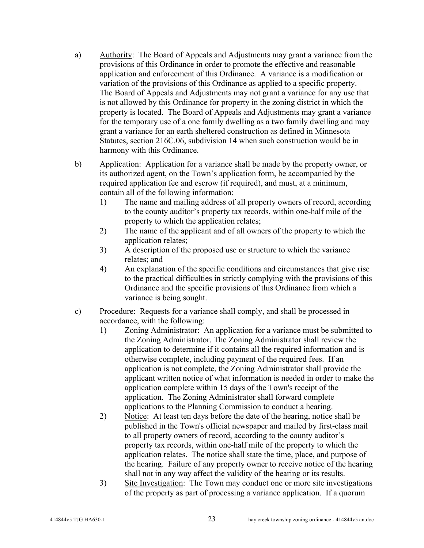- a) Authority: The Board of Appeals and Adjustments may grant a variance from the provisions of this Ordinance in order to promote the effective and reasonable application and enforcement of this Ordinance. A variance is a modification or variation of the provisions of this Ordinance as applied to a specific property. The Board of Appeals and Adjustments may not grant a variance for any use that is not allowed by this Ordinance for property in the zoning district in which the property is located. The Board of Appeals and Adjustments may grant a variance for the temporary use of a one family dwelling as a two family dwelling and may grant a variance for an earth sheltered construction as defined in Minnesota Statutes, section 216C.06, subdivision 14 when such construction would be in harmony with this Ordinance.
- b) Application: Application for a variance shall be made by the property owner, or its authorized agent, on the Town's application form, be accompanied by the required application fee and escrow (if required), and must, at a minimum, contain all of the following information:
	- 1) The name and mailing address of all property owners of record, according to the county auditor's property tax records, within one-half mile of the property to which the application relates;
	- 2) The name of the applicant and of all owners of the property to which the application relates;
	- 3) A description of the proposed use or structure to which the variance relates; and
	- 4) An explanation of the specific conditions and circumstances that give rise to the practical difficulties in strictly complying with the provisions of this Ordinance and the specific provisions of this Ordinance from which a variance is being sought.
- c) Procedure: Requests for a variance shall comply, and shall be processed in accordance, with the following:
	- 1) Zoning Administrator: An application for a variance must be submitted to the Zoning Administrator. The Zoning Administrator shall review the application to determine if it contains all the required information and is otherwise complete, including payment of the required fees. If an application is not complete, the Zoning Administrator shall provide the applicant written notice of what information is needed in order to make the application complete within 15 days of the Town's receipt of the application. The Zoning Administrator shall forward complete applications to the Planning Commission to conduct a hearing.
	- 2) Notice: At least ten days before the date of the hearing, notice shall be published in the Town's official newspaper and mailed by first-class mail to all property owners of record, according to the county auditor's property tax records, within one-half mile of the property to which the application relates. The notice shall state the time, place, and purpose of the hearing. Failure of any property owner to receive notice of the hearing shall not in any way affect the validity of the hearing or its results.
	- 3) Site Investigation: The Town may conduct one or more site investigations of the property as part of processing a variance application. If a quorum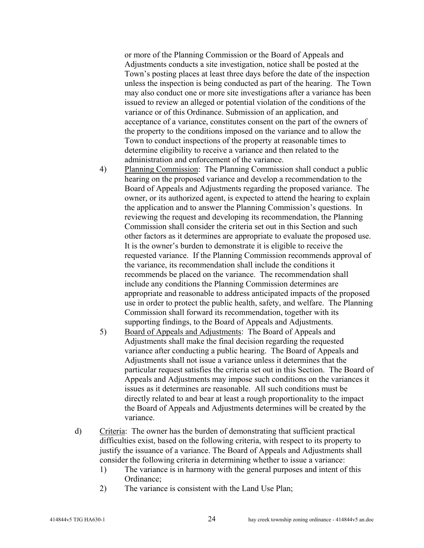or more of the Planning Commission or the Board of Appeals and Adjustments conducts a site investigation, notice shall be posted at the Town's posting places at least three days before the date of the inspection unless the inspection is being conducted as part of the hearing. The Town may also conduct one or more site investigations after a variance has been issued to review an alleged or potential violation of the conditions of the variance or of this Ordinance. Submission of an application, and acceptance of a variance, constitutes consent on the part of the owners of the property to the conditions imposed on the variance and to allow the Town to conduct inspections of the property at reasonable times to determine eligibility to receive a variance and then related to the administration and enforcement of the variance.

- 4) Planning Commission: The Planning Commission shall conduct a public hearing on the proposed variance and develop a recommendation to the Board of Appeals and Adjustments regarding the proposed variance. The owner, or its authorized agent, is expected to attend the hearing to explain the application and to answer the Planning Commission's questions. In reviewing the request and developing its recommendation, the Planning Commission shall consider the criteria set out in this Section and such other factors as it determines are appropriate to evaluate the proposed use. It is the owner's burden to demonstrate it is eligible to receive the requested variance. If the Planning Commission recommends approval of the variance, its recommendation shall include the conditions it recommends be placed on the variance. The recommendation shall include any conditions the Planning Commission determines are appropriate and reasonable to address anticipated impacts of the proposed use in order to protect the public health, safety, and welfare. The Planning Commission shall forward its recommendation, together with its supporting findings, to the Board of Appeals and Adjustments.
- 5) Board of Appeals and Adjustments: The Board of Appeals and Adjustments shall make the final decision regarding the requested variance after conducting a public hearing. The Board of Appeals and Adjustments shall not issue a variance unless it determines that the particular request satisfies the criteria set out in this Section. The Board of Appeals and Adjustments may impose such conditions on the variances it issues as it determines are reasonable. All such conditions must be directly related to and bear at least a rough proportionality to the impact the Board of Appeals and Adjustments determines will be created by the variance.
- d) Criteria: The owner has the burden of demonstrating that sufficient practical difficulties exist, based on the following criteria, with respect to its property to justify the issuance of a variance. The Board of Appeals and Adjustments shall consider the following criteria in determining whether to issue a variance:
	- 1) The variance is in harmony with the general purposes and intent of this Ordinance;
	- 2) The variance is consistent with the Land Use Plan;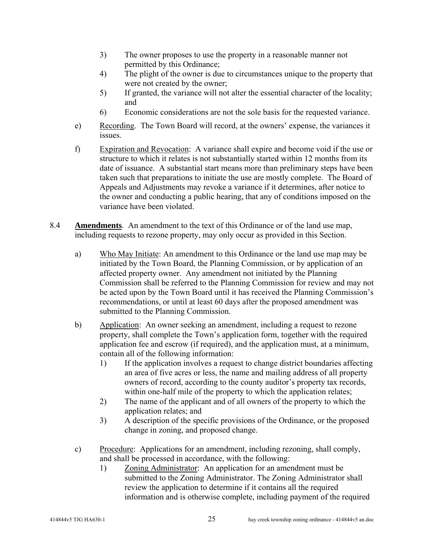- 3) The owner proposes to use the property in a reasonable manner not permitted by this Ordinance;
- 4) The plight of the owner is due to circumstances unique to the property that were not created by the owner;
- 5) If granted, the variance will not alter the essential character of the locality; and
- 6) Economic considerations are not the sole basis for the requested variance.
- e) Recording. The Town Board will record, at the owners' expense, the variances it issues.
- f) Expiration and Revocation: A variance shall expire and become void if the use or structure to which it relates is not substantially started within 12 months from its date of issuance. A substantial start means more than preliminary steps have been taken such that preparations to initiate the use are mostly complete. The Board of Appeals and Adjustments may revoke a variance if it determines, after notice to the owner and conducting a public hearing, that any of conditions imposed on the variance have been violated.
- 8.4 **Amendments**. An amendment to the text of this Ordinance or of the land use map, including requests to rezone property, may only occur as provided in this Section.
	- a) Who May Initiate: An amendment to this Ordinance or the land use map may be initiated by the Town Board, the Planning Commission, or by application of an affected property owner. Any amendment not initiated by the Planning Commission shall be referred to the Planning Commission for review and may not be acted upon by the Town Board until it has received the Planning Commission's recommendations, or until at least 60 days after the proposed amendment was submitted to the Planning Commission.
	- b) Application: An owner seeking an amendment, including a request to rezone property, shall complete the Town's application form, together with the required application fee and escrow (if required), and the application must, at a minimum, contain all of the following information:
		- 1) If the application involves a request to change district boundaries affecting an area of five acres or less, the name and mailing address of all property owners of record, according to the county auditor's property tax records, within one-half mile of the property to which the application relates;
		- 2) The name of the applicant and of all owners of the property to which the application relates; and
		- 3) A description of the specific provisions of the Ordinance, or the proposed change in zoning, and proposed change.
	- c) Procedure: Applications for an amendment, including rezoning, shall comply, and shall be processed in accordance, with the following:
		- 1) Zoning Administrator: An application for an amendment must be submitted to the Zoning Administrator. The Zoning Administrator shall review the application to determine if it contains all the required information and is otherwise complete, including payment of the required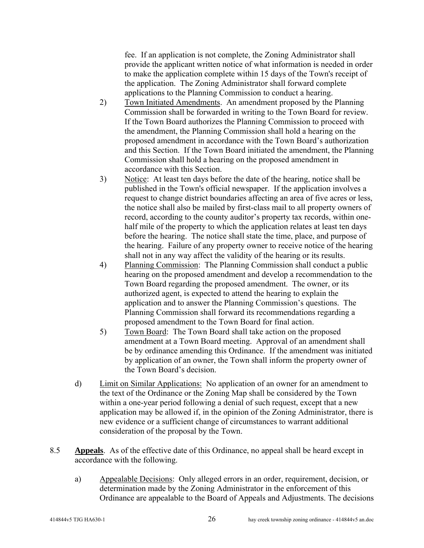fee. If an application is not complete, the Zoning Administrator shall provide the applicant written notice of what information is needed in order to make the application complete within 15 days of the Town's receipt of the application. The Zoning Administrator shall forward complete applications to the Planning Commission to conduct a hearing.

- 2) Town Initiated Amendments. An amendment proposed by the Planning Commission shall be forwarded in writing to the Town Board for review. If the Town Board authorizes the Planning Commission to proceed with the amendment, the Planning Commission shall hold a hearing on the proposed amendment in accordance with the Town Board's authorization and this Section. If the Town Board initiated the amendment, the Planning Commission shall hold a hearing on the proposed amendment in accordance with this Section.
- 3) Notice: At least ten days before the date of the hearing, notice shall be published in the Town's official newspaper. If the application involves a request to change district boundaries affecting an area of five acres or less, the notice shall also be mailed by first-class mail to all property owners of record, according to the county auditor's property tax records, within onehalf mile of the property to which the application relates at least ten days before the hearing. The notice shall state the time, place, and purpose of the hearing. Failure of any property owner to receive notice of the hearing shall not in any way affect the validity of the hearing or its results.
- 4) Planning Commission: The Planning Commission shall conduct a public hearing on the proposed amendment and develop a recommendation to the Town Board regarding the proposed amendment. The owner, or its authorized agent, is expected to attend the hearing to explain the application and to answer the Planning Commission's questions. The Planning Commission shall forward its recommendations regarding a proposed amendment to the Town Board for final action.
- 5) Town Board: The Town Board shall take action on the proposed amendment at a Town Board meeting. Approval of an amendment shall be by ordinance amending this Ordinance. If the amendment was initiated by application of an owner, the Town shall inform the property owner of the Town Board's decision.
- d) Limit on Similar Applications: No application of an owner for an amendment to the text of the Ordinance or the Zoning Map shall be considered by the Town within a one-year period following a denial of such request, except that a new application may be allowed if, in the opinion of the Zoning Administrator, there is new evidence or a sufficient change of circumstances to warrant additional consideration of the proposal by the Town.
- 8.5 **Appeals**. As of the effective date of this Ordinance, no appeal shall be heard except in accordance with the following.
	- a) Appealable Decisions: Only alleged errors in an order, requirement, decision, or determination made by the Zoning Administrator in the enforcement of this Ordinance are appealable to the Board of Appeals and Adjustments. The decisions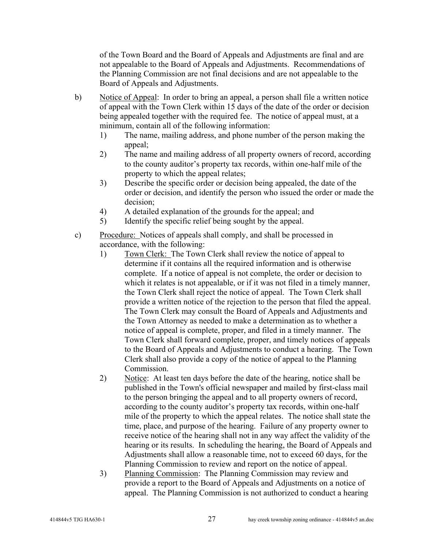of the Town Board and the Board of Appeals and Adjustments are final and are not appealable to the Board of Appeals and Adjustments. Recommendations of the Planning Commission are not final decisions and are not appealable to the Board of Appeals and Adjustments.

- b) Notice of Appeal: In order to bring an appeal, a person shall file a written notice of appeal with the Town Clerk within 15 days of the date of the order or decision being appealed together with the required fee. The notice of appeal must, at a minimum, contain all of the following information:
	- 1) The name, mailing address, and phone number of the person making the appeal;
	- 2) The name and mailing address of all property owners of record, according to the county auditor's property tax records, within one-half mile of the property to which the appeal relates;
	- 3) Describe the specific order or decision being appealed, the date of the order or decision, and identify the person who issued the order or made the decision;
	- 4) A detailed explanation of the grounds for the appeal; and
	- 5) Identify the specific relief being sought by the appeal.
- c) Procedure: Notices of appeals shall comply, and shall be processed in accordance, with the following:
	- 1) Town Clerk: The Town Clerk shall review the notice of appeal to determine if it contains all the required information and is otherwise complete. If a notice of appeal is not complete, the order or decision to which it relates is not appealable, or if it was not filed in a timely manner, the Town Clerk shall reject the notice of appeal. The Town Clerk shall provide a written notice of the rejection to the person that filed the appeal. The Town Clerk may consult the Board of Appeals and Adjustments and the Town Attorney as needed to make a determination as to whether a notice of appeal is complete, proper, and filed in a timely manner. The Town Clerk shall forward complete, proper, and timely notices of appeals to the Board of Appeals and Adjustments to conduct a hearing. The Town Clerk shall also provide a copy of the notice of appeal to the Planning Commission.
	- 2) Notice: At least ten days before the date of the hearing, notice shall be published in the Town's official newspaper and mailed by first-class mail to the person bringing the appeal and to all property owners of record, according to the county auditor's property tax records, within one-half mile of the property to which the appeal relates. The notice shall state the time, place, and purpose of the hearing. Failure of any property owner to receive notice of the hearing shall not in any way affect the validity of the hearing or its results. In scheduling the hearing, the Board of Appeals and Adjustments shall allow a reasonable time, not to exceed 60 days, for the Planning Commission to review and report on the notice of appeal.
	- 3) Planning Commission: The Planning Commission may review and provide a report to the Board of Appeals and Adjustments on a notice of appeal. The Planning Commission is not authorized to conduct a hearing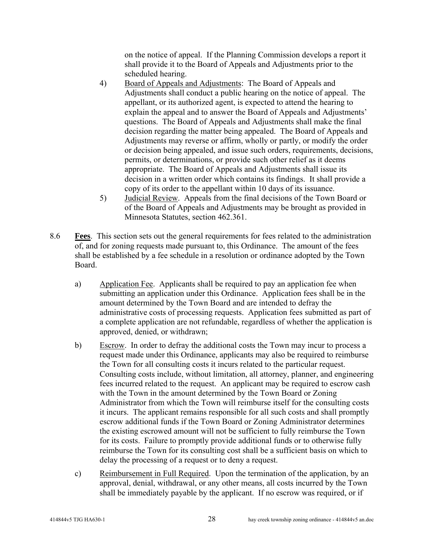on the notice of appeal. If the Planning Commission develops a report it shall provide it to the Board of Appeals and Adjustments prior to the scheduled hearing.

- 4) Board of Appeals and Adjustments: The Board of Appeals and Adjustments shall conduct a public hearing on the notice of appeal. The appellant, or its authorized agent, is expected to attend the hearing to explain the appeal and to answer the Board of Appeals and Adjustments' questions. The Board of Appeals and Adjustments shall make the final decision regarding the matter being appealed. The Board of Appeals and Adjustments may reverse or affirm, wholly or partly, or modify the order or decision being appealed, and issue such orders, requirements, decisions, permits, or determinations, or provide such other relief as it deems appropriate. The Board of Appeals and Adjustments shall issue its decision in a written order which contains its findings. It shall provide a copy of its order to the appellant within 10 days of its issuance.
- 5) Judicial Review. Appeals from the final decisions of the Town Board or of the Board of Appeals and Adjustments may be brought as provided in Minnesota Statutes, section 462.361.
- 8.6 **Fees**. This section sets out the general requirements for fees related to the administration of, and for zoning requests made pursuant to, this Ordinance. The amount of the fees shall be established by a fee schedule in a resolution or ordinance adopted by the Town Board.
	- a) Application Fee. Applicants shall be required to pay an application fee when submitting an application under this Ordinance. Application fees shall be in the amount determined by the Town Board and are intended to defray the administrative costs of processing requests. Application fees submitted as part of a complete application are not refundable, regardless of whether the application is approved, denied, or withdrawn;
	- b) Escrow. In order to defray the additional costs the Town may incur to process a request made under this Ordinance, applicants may also be required to reimburse the Town for all consulting costs it incurs related to the particular request. Consulting costs include, without limitation, all attorney, planner, and engineering fees incurred related to the request. An applicant may be required to escrow cash with the Town in the amount determined by the Town Board or Zoning Administrator from which the Town will reimburse itself for the consulting costs it incurs. The applicant remains responsible for all such costs and shall promptly escrow additional funds if the Town Board or Zoning Administrator determines the existing escrowed amount will not be sufficient to fully reimburse the Town for its costs. Failure to promptly provide additional funds or to otherwise fully reimburse the Town for its consulting cost shall be a sufficient basis on which to delay the processing of a request or to deny a request.
	- c) Reimbursement in Full Required. Upon the termination of the application, by an approval, denial, withdrawal, or any other means, all costs incurred by the Town shall be immediately payable by the applicant. If no escrow was required, or if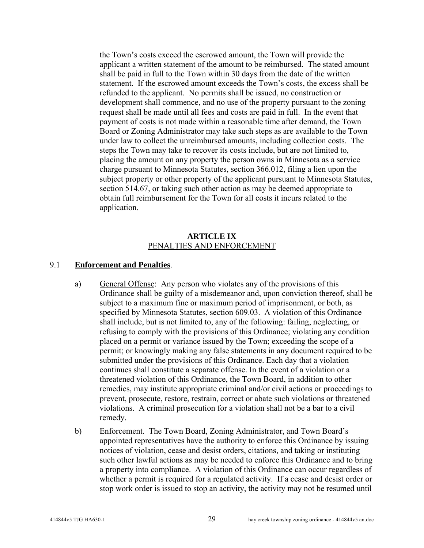the Town's costs exceed the escrowed amount, the Town will provide the applicant a written statement of the amount to be reimbursed. The stated amount shall be paid in full to the Town within 30 days from the date of the written statement. If the escrowed amount exceeds the Town's costs, the excess shall be refunded to the applicant. No permits shall be issued, no construction or development shall commence, and no use of the property pursuant to the zoning request shall be made until all fees and costs are paid in full. In the event that payment of costs is not made within a reasonable time after demand, the Town Board or Zoning Administrator may take such steps as are available to the Town under law to collect the unreimbursed amounts, including collection costs. The steps the Town may take to recover its costs include, but are not limited to, placing the amount on any property the person owns in Minnesota as a service charge pursuant to Minnesota Statutes, section 366.012, filing a lien upon the subject property or other property of the applicant pursuant to Minnesota Statutes, section 514.67, or taking such other action as may be deemed appropriate to obtain full reimbursement for the Town for all costs it incurs related to the application.

#### **ARTICLE IX**  PENALTIES AND ENFORCEMENT

#### 9.1 **Enforcement and Penalties**.

- a) General Offense: Any person who violates any of the provisions of this Ordinance shall be guilty of a misdemeanor and, upon conviction thereof, shall be subject to a maximum fine or maximum period of imprisonment, or both, as specified by Minnesota Statutes, section 609.03. A violation of this Ordinance shall include, but is not limited to, any of the following: failing, neglecting, or refusing to comply with the provisions of this Ordinance; violating any condition placed on a permit or variance issued by the Town; exceeding the scope of a permit; or knowingly making any false statements in any document required to be submitted under the provisions of this Ordinance. Each day that a violation continues shall constitute a separate offense. In the event of a violation or a threatened violation of this Ordinance, the Town Board, in addition to other remedies, may institute appropriate criminal and/or civil actions or proceedings to prevent, prosecute, restore, restrain, correct or abate such violations or threatened violations. A criminal prosecution for a violation shall not be a bar to a civil remedy.
- b) Enforcement. The Town Board, Zoning Administrator, and Town Board's appointed representatives have the authority to enforce this Ordinance by issuing notices of violation, cease and desist orders, citations, and taking or instituting such other lawful actions as may be needed to enforce this Ordinance and to bring a property into compliance. A violation of this Ordinance can occur regardless of whether a permit is required for a regulated activity. If a cease and desist order or stop work order is issued to stop an activity, the activity may not be resumed until